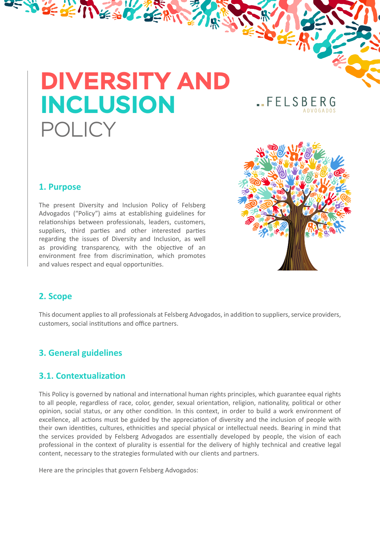# **DIVERSITY AND INCLUSION** POLICY

BEST CERTIFY

**.FELSBERG** 

#### **1. Purpose**

The present Diversity and Inclusion Policy of Felsberg Advogados ("Policy") aims at establishing guidelines for relationships between professionals, leaders, customers, suppliers, third parties and other interested parties regarding the issues of Diversity and Inclusion, as well as providing transparency, with the objective of an environment free from discrimination, which promotes and values respect and equal opportunities.



#### **2. Scope**

This document applies to all professionals at Felsberg Advogados, in addition to suppliers, service providers, customers, social institutions and office partners.

#### **3. General guidelines**

#### **3.1. Contextualization**

This Policy is governed by national and international human rights principles, which guarantee equal rights to all people, regardless of race, color, gender, sexual orientation, religion, nationality, political or other opinion, social status, or any other condition. In this context, in order to build a work environment of excellence, all actions must be guided by the appreciation of diversity and the inclusion of people with their own identities, cultures, ethnicities and special physical or intellectual needs. Bearing in mind that the services provided by Felsberg Advogados are essentially developed by people, the vision of each professional in the context of plurality is essential for the delivery of highly technical and creative legal content, necessary to the strategies formulated with our clients and partners.

Here are the principles that govern Felsberg Advogados: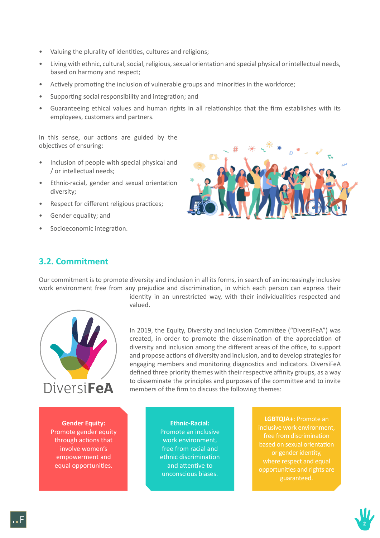- Valuing the plurality of identities, cultures and religions;
- Living with ethnic, cultural, social, religious, sexual orientation and special physical or intellectual needs, based on harmony and respect;
- Actively promoting the inclusion of vulnerable groups and minorities in the workforce;
- Supporting social responsibility and integration; and
- Guaranteeing ethical values and human rights in all relationships that the firm establishes with its employees, customers and partners.

In this sense, our actions are guided by the objectives of ensuring:

- Inclusion of people with special physical and / or intellectual needs;
- Ethnic-racial, gender and sexual orientation diversity;
- Respect for different religious practices;
- Gender equality; and
- Socioeconomic integration.



### **3.2. Commitment**

Our commitment is to promote diversity and inclusion in all its forms, in search of an increasingly inclusive work environment free from any prejudice and discrimination, in which each person can express their



identity in an unrestricted way, with their individualities respected and valued.

In 2019, the Equity, Diversity and Inclusion Committee ("DiversiFeA") was created, in order to promote the dissemination of the appreciation of diversity and inclusion among the different areas of the office, to support and propose actions of diversity and inclusion, and to develop strategies for engaging members and monitoring diagnostics and indicators. DiversiFeA defined three priority themes with their respective affinity groups, as a way to disseminate the principles and purposes of the committee and to invite<br>
DIVATSI**FeA** members of the firm to discuss the following themes:

**Gender Equity:** Promote gender equity through actions that involve women's empowerment and equal opportunities.

**Ethnic-Racial:**  Promote an inclusive work environment, free from racial and ethnic discrimination and attentive to unconscious biases.

**LGBTQIA+:** Promote an inclusive work environment, free from discrimination based on sexual orientation or gender identity, opportunities and rights are

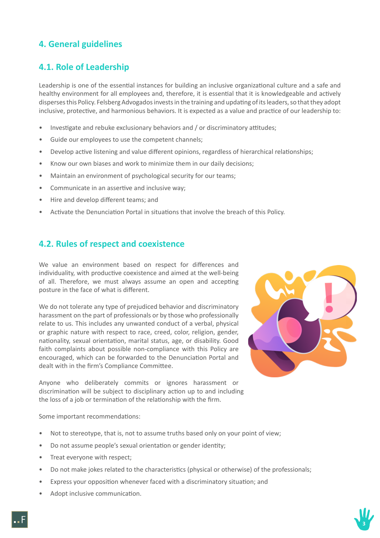## **4. General guidelines**

## **4.1. Role of Leadership**

Leadership is one of the essential instances for building an inclusive organizational culture and a safe and healthy environment for all employees and, therefore, it is essential that it is knowledgeable and actively disperses this Policy. Felsberg Advogados invests in the training and updating of its leaders, so that they adopt inclusive, protective, and harmonious behaviors. It is expected as a value and practice of our leadership to:

- Investigate and rebuke exclusionary behaviors and / or discriminatory attitudes;
- Guide our employees to use the competent channels;
- Develop active listening and value different opinions, regardless of hierarchical relationships;
- Know our own biases and work to minimize them in our daily decisions;
- Maintain an environment of psychological security for our teams;
- Communicate in an assertive and inclusive way;
- Hire and develop different teams; and
- Activate the Denunciation Portal in situations that involve the breach of this Policy.

#### **4.2. Rules of respect and coexistence**

We value an environment based on respect for differences and individuality, with productive coexistence and aimed at the well-being of all. Therefore, we must always assume an open and accepting posture in the face of what is different.

We do not tolerate any type of prejudiced behavior and discriminatory harassment on the part of professionals or by those who professionally relate to us. This includes any unwanted conduct of a verbal, physical or graphic nature with respect to race, creed, color, religion, gender, nationality, sexual orientation, marital status, age, or disability. Good faith complaints about possible non-compliance with this Policy are encouraged, which can be forwarded to the Denunciation Portal and dealt with in the firm's Compliance Committee.



Anyone who deliberately commits or ignores harassment or discrimination will be subject to disciplinary action up to and including the loss of a job or termination of the relationship with the firm.

Some important recommendations:

- Not to stereotype, that is, not to assume truths based only on your point of view;
- Do not assume people's sexual orientation or gender identity;
- Treat everyone with respect;
- Do not make jokes related to the characteristics (physical or otherwise) of the professionals;
- Express your opposition whenever faced with a discriminatory situation; and
- Adopt inclusive communication.

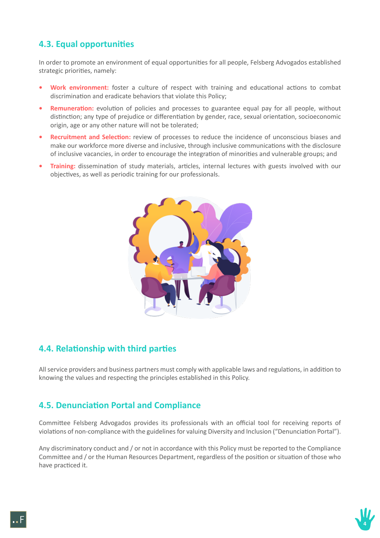## **4.3. Equal opportunities**

In order to promote an environment of equal opportunities for all people, Felsberg Advogados established strategic priorities, namely:

- **• Work environment:** foster a culture of respect with training and educational actions to combat discrimination and eradicate behaviors that violate this Policy;
- **Remuneration:** evolution of policies and processes to guarantee equal pay for all people, without distinction; any type of prejudice or differentiation by gender, race, sexual orientation, socioeconomic origin, age or any other nature will not be tolerated;
- **• Recruitment and Selection:** review of processes to reduce the incidence of unconscious biases and make our workforce more diverse and inclusive, through inclusive communications with the disclosure of inclusive vacancies, in order to encourage the integration of minorities and vulnerable groups; and
- **• Training:** dissemination of study materials, articles, internal lectures with guests involved with our objectives, as well as periodic training for our professionals.



### **4.4. Relationship with third parties**

All service providers and business partners must comply with applicable laws and regulations, in addition to knowing the values and respecting the principles established in this Policy.

### **4.5. Denunciation Portal and Compliance**

Committee Felsberg Advogados provides its professionals with an official tool for receiving reports of violations of non-compliance with the guidelines for valuing Diversity and Inclusion ("Denunciation Portal").

Any discriminatory conduct and / or not in accordance with this Policy must be reported to the Compliance Committee and / or the Human Resources Department, regardless of the position or situation of those who have practiced it.